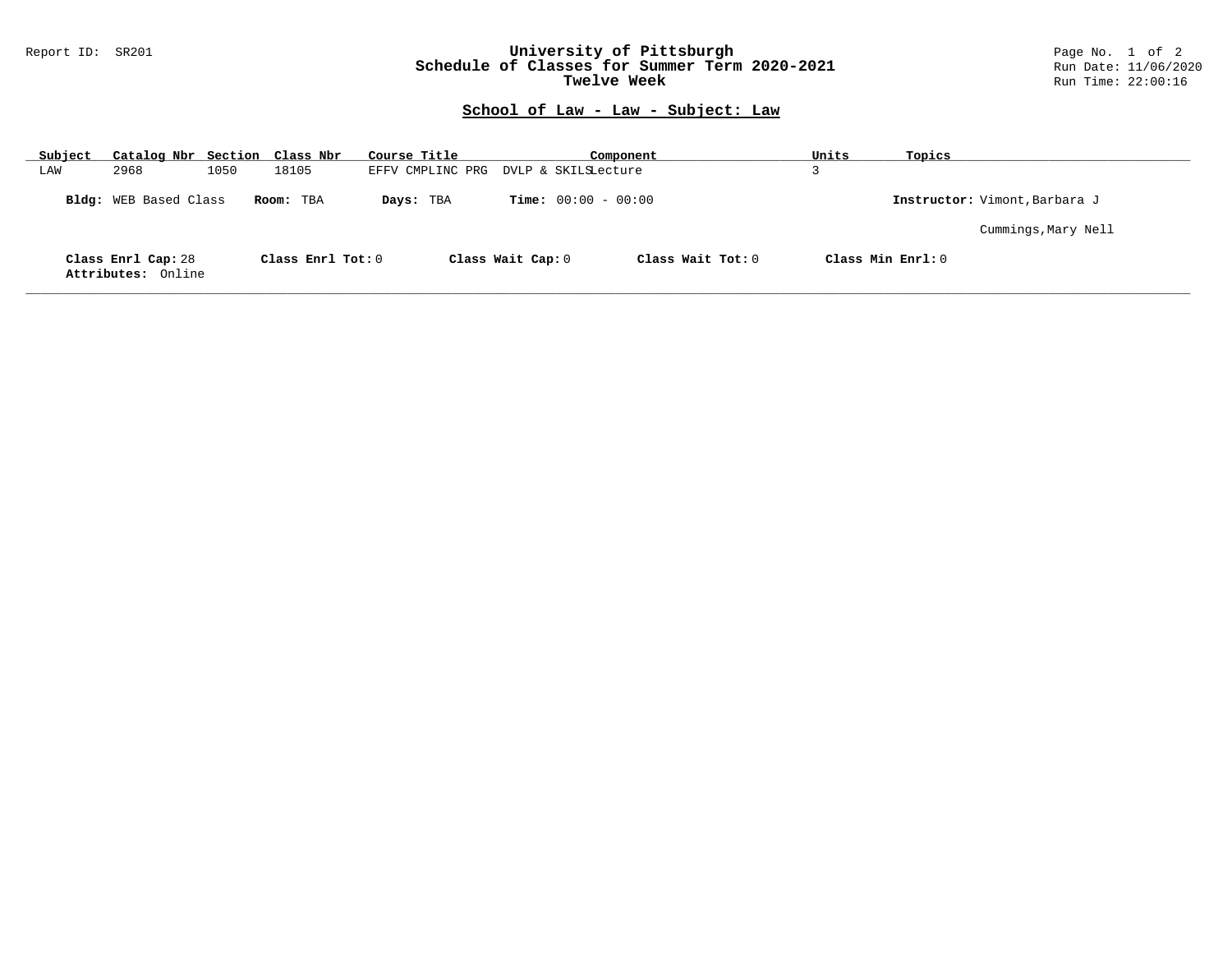## Report ID: SR201 **University of Pittsburgh** Page No. 1 of 2 **Schedule of Classes for Summer Term 2020-2021** Run Date: 11/06/2020 **Twelve Week Run Time: 22:00:16**

## **School of Law - Law - Subject: Law**

| Subject |                                          | Catalog Nbr Section Class Nbr | Course Title     |                              | Component           | Units | Topics                        |
|---------|------------------------------------------|-------------------------------|------------------|------------------------------|---------------------|-------|-------------------------------|
| LAW     | 2968<br>1050                             | 18105                         | EFFV CMPLINC PRG | DVLP & SKILSLecture          |                     |       |                               |
|         | Bldg: WEB Based Class                    | Room: TBA                     | Days: TBA        | <b>Time:</b> $00:00 - 00:00$ |                     |       | Instructor: Vimont, Barbara J |
|         |                                          |                               |                  |                              |                     |       | Cummings, Mary Nell           |
|         | Class Enrl Cap: 28<br>Attributes: Online | Class Enrl Tot: 0             |                  | Class Wait Cap: 0            | Class Wait $Tot: 0$ |       | Class Min Enrl: 0             |